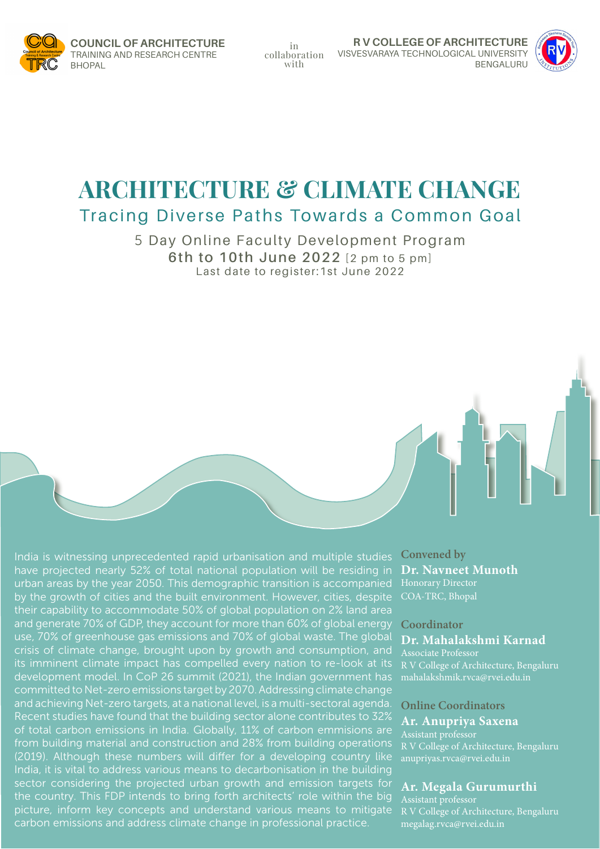

in collaboration with

**R V COLLEGE OF ARCHITECTURE** VISVESVARAYA TECHNOLOGICAL UNIVERSITY BENGALURU



# **ARCHITECTURE & CLIMATE CHANGE** Tracing Diverse Paths Towards a Common Goal

5 Day Online Faculty Development Program **6th to 10th June 2022** [2 pm to 5 pm] Last date to register:1st June 2022

India is witnessing unprecedented rapid urbanisation and multiple studies have projected nearly 52% of total national population will be residing in urban areas by the year 2050. This demographic transition is accompanied by the growth of cities and the built environment. However, cities, despite their capability to accommodate 50% of global population on 2% land area and generate 70% of GDP, they account for more than 60% of global energy use, 70% of greenhouse gas emissions and 70% of global waste. The global crisis of climate change, brought upon by growth and consumption, and its imminent climate impact has compelled every nation to re-look at its development model. In CoP 26 summit (2021), the Indian government has committed to Net-zero emissions target by 2070. Addressing climate change and achieving Net-zero targets, at a national level, is a multi-sectoral agenda. Recent studies have found that the building sector alone contributes to 32% of total carbon emissions in India. Globally, 11% of carbon emmisions are from building material and construction and 28% from building operations (2019). Although these numbers will differ for a developing country like India, it is vital to address various means to decarbonisation in the building sector considering the projected urban growth and emission targets for the country. This FDP intends to bring forth architects' role within the big picture, inform key concepts and understand various means to mitigate carbon emissions and address climate change in professional practice.

**Convened by Dr. Navneet Munoth** Honorary Director COA-TRC, Bhopal

#### **Coordinator**

**Dr. Mahalakshmi Karnad** Associate Professor

R V College of Architecture, Bengaluru mahalakshmik.rvca@rvei.edu.in

#### **Online Coordinators**

# **Ar. Anupriya Saxena**

R V College of Architecture, Bengaluru anupriyas.rvca@rvei.edu.in

#### **Ar. Megala Gurumurthi**

R V College of Architecture, Bengaluru megalag.rvca@rvei.edu.in